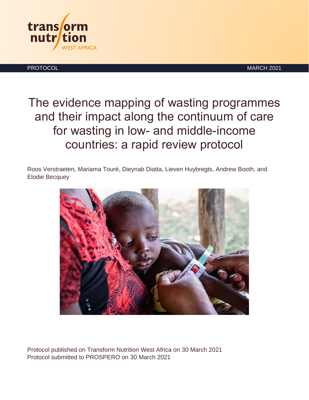

PROTOCOL **Example 2021** NARCH 2021

The evidence mapping of wasting programmes and their impact along the continuum of care for wasting in low- and middle-income countries: a rapid review protocol

Roos Verstraeten, Mariama Touré, Dieynab Diatta, Lieven Huybregts, Andrew Booth, and Elodie Becquey



Protocol published on Transform Nutrition West Africa on 30 March 2021 Protocol submitted to PROSPERO on 30 March 2021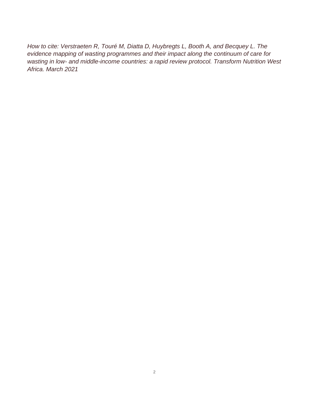*How to cite: Verstraeten R, Touré M, Diatta D, Huybregts L, Booth A, and Becquey L. The evidence mapping of wasting programmes and their impact along the continuum of care for wasting in low- and middle-income countries: a rapid review protocol. Transform Nutrition West Africa. March 2021*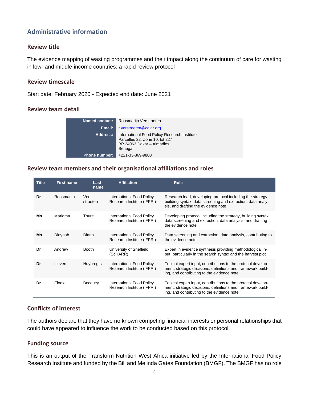# **Administrative information**

### **Review title**

The evidence mapping of wasting programmes and their impact along the continuum of care for wasting in low- and middle-income countries: a rapid review protocol

### **Review timescale**

Start date: February 2020 - Expected end date: June 2021

### **Review team detail**

| Named contact:       | Roosmarijn Verstraeten                                                                                                 |
|----------------------|------------------------------------------------------------------------------------------------------------------------|
| Email:               | r.verstraeten@cgiar.org                                                                                                |
| Address:             | International Food Policy Research Institute<br>Parcelles 22, Zone 10, lot 227<br>BP 24063 Dakar - Almadies<br>Senegal |
| <b>Phone number:</b> | +221-33-869-9800                                                                                                       |

### **Review team members and their organisational affiliations and roles**

| <b>Title</b> | <b>First name</b> | Last<br>name     | <b>Affiliation</b>                                             | <b>Role</b>                                                                                                                                                               |
|--------------|-------------------|------------------|----------------------------------------------------------------|---------------------------------------------------------------------------------------------------------------------------------------------------------------------------|
| Dr           | Roosmarijn        | Ver-<br>straeten | <b>International Food Policy</b><br>Research Institute (IFPRI) | Research lead, developing protocol including the strategy,<br>building syntax, data screening and extraction, data analy-<br>sis, and drafting the evidence note          |
| Ms           | Mariama           | Touré            | <b>International Food Policy</b><br>Research Institute (IFPRI) | Developing protocol including the strategy, building syntax,<br>data screening and extraction, data analysis, and drafting<br>the evidence note                           |
| Ms           | Dieynab           | Diatta           | <b>International Food Policy</b><br>Research Institute (IFPRI) | Data screening and extraction, data analysis, contributing to<br>the evidence note                                                                                        |
| Dr           | Andrew            | <b>Booth</b>     | University of Sheffield<br>(ScHARR)                            | Expert in evidence synthesis providing methodological in-<br>put, particularly in the search syntax and the harvest plot                                                  |
| Dr           | Lieven            | Huybregts        | <b>International Food Policy</b><br>Research Institute (IFPRI) | Topical expert input, contributions to the protocol develop-<br>ment, strategic decisions, definitions and framework build-<br>ing, and contributing to the evidence note |
| Dr           | Elodie            | Becquey          | <b>International Food Policy</b><br>Research Institute (IFPRI) | Topical expert input, contributions to the protocol develop-<br>ment, strategic decisions, definitions and framework build-<br>ing, and contributing to the evidence note |

### **Conflicts of interest**

The authors declare that they have no known competing financial interests or personal relationships that could have appeared to influence the work to be conducted based on this protocol.

### **Funding source**

This is an output of the Transform Nutrition West Africa initiative led by the International Food Policy Research Institute and funded by the Bill and Melinda Gates Foundation (BMGF). The BMGF has no role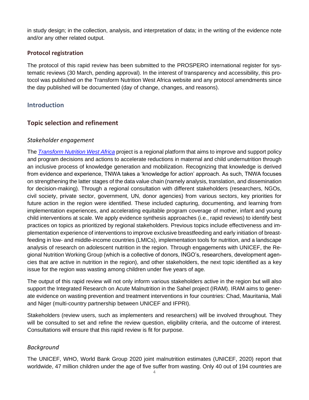in study design; in the collection, analysis, and interpretation of data; in the writing of the evidence note and/or any other related output.

### **Protocol registration**

The protocol of this rapid review has been submitted to the PROSPERO international register for systematic reviews (30 March, pending approval). In the interest of transparency and accessibility, this protocol was published on the Transform Nutrition West Africa website and any protocol amendments since the day published will be documented (day of change, changes, and reasons).

# **Introduction**

# **Topic selection and refinement**

### *Stakeholder engagement*

The *[Transform Nutrition](https://westafrica.transformnutrition.org/fr/accueil/) West Africa* project is a regional platform that aims to improve and support policy and program decisions and actions to accelerate reductions in maternal and child undernutrition through an inclusive process of knowledge generation and mobilization. Recognizing that knowledge is derived from evidence and experience, TNWA takes a 'knowledge for action' approach. As such, TNWA focuses on strengthening the latter stages of the data value chain (namely analysis, translation, and dissemination for decision-making). Through a regional consultation with different stakeholders (researchers, NGOs, civil society, private sector, government, UN, donor agencies) from various sectors, key priorities for future action in the region were identified. These included capturing, documenting, and learning from implementation experiences, and accelerating equitable program coverage of mother, infant and young child interventions at scale. We apply evidence synthesis approaches (i.e., rapid reviews) to identify best practices on topics as prioritized by regional stakeholders. Previous topics include effectiveness and implementation experience of interventions to improve exclusive breastfeeding and early initiation of breastfeeding in low- and middle-income countries (LMICs), implementation tools for nutrition, and a landscape analysis of research on adolescent nutrition in the region. Through engagements with UNICEF, the Regional Nutrition Working Group (which is a collective of donors, INGO's, researchers, development agencies that are active in nutrition in the region), and other stakeholders, the next topic identified as a key issue for the region was wasting among children under five years of age.

The output of this rapid review will not only inform various stakeholders active in the region but will also support the Integrated Research on Acute Malnutrition in the Sahel project (IRAM). IRAM aims to generate evidence on wasting prevention and treatment interventions in four countries: Chad, Mauritania, Mali and Niger (multi-country partnership between UNICEF and IFPRI).

Stakeholders (review users, such as implementers and researchers) will be involved throughout. They will be consulted to set and refine the review question, eligibility criteria, and the outcome of interest. Consultations will ensure that this rapid review is fit for purpose.

### *Background*

The UNICEF, WHO, World Bank Group 2020 joint malnutrition estimates (UNICEF, 2020) report that worldwide, 47 million children under the age of five suffer from wasting. Only 40 out of 194 countries are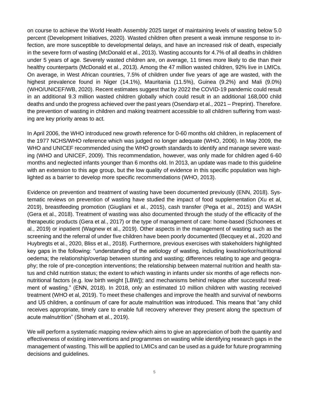on course to achieve the World Health Assembly 2025 target of maintaining levels of wasting below 5.0 percent (Development Initiatives, 2020). Wasted children often present a weak immune response to infection, are more susceptible to developmental delays, and have an increased risk of death, especially in the severe form of wasting (McDonald et al., 2013). Wasting accounts for 4.7% of all deaths in children under 5 years of age. Severely wasted children are, on average, 11 times more likely to die than their healthy counterparts (McDonald et al., 2013). Among the 47 million wasted children, 92% live in LMICs. On average, in West African countries, 7.5% of children under five years of age are wasted, with the highest prevalence found in Niger (14.1%), Mauritania (11.5%), Guinea (9.2%) and Mali (9.0%) (WHO/UNICEF/WB, 2020). Recent estimates suggest that by 2022 the COVID-19 pandemic could result in an additional 9.3 million wasted children globally which could result in an additional 168,000 child deaths and undo the progress achieved over the past years (Osendarp et al., 2021 – Preprint). Therefore. the prevention of wasting in children and making treatment accessible to all children suffering from wasting are key priority areas to act.

In April 2006, the WHO introduced new growth reference for 0-60 months old children, in replacement of the 1977 NCHS/WHO reference which was judged no longer adequate (WHO, 2006). In May 2009, the WHO and UNICEF recommended using the WHO growth standards to identify and manage severe wasting (WHO and UNICEF, 2009). This recommendation, however, was only made for children aged 6-60 months and neglected infants younger than 6 months old. In 2013, an update was made to this guideline with an extension to this age group, but the low quality of evidence in this specific population was highlighted as a barrier to develop more specific recommendations (WHO, 2013).

Evidence on prevention and treatment of wasting have been documented previously (ENN, 2018). Systematic reviews on prevention of wasting have studied the impact of food supplementation (Xu et al, 2019), breastfeeding promotion (Giugliani et al., 2015), cash transfer (Pega et al., 2015) and WASH (Gera et al., 2018). Treatment of wasting was also documented through the study of the efficacity of the therapeutic products (Gera et al., 2017) or the type of management of care: home-based (Schoonees et al., 2019) or inpatient (Wagnew et al., 2019). Other aspects in the management of wasting such as the screening and the referral of under five children have been poorly documented (Becquey et al., 2020 and Huybregts et al., 2020, Bliss et al., 2018). Furthermore, previous exercises with stakeholders highlighted key gaps in the following: "understanding of the aetiology of wasting, including kwashiorkor/nutritional oedema; the relationship/overlap between stunting and wasting; differences relating to age and geography; the role of pre-conception interventions; the relationship between maternal nutrition and health status and child nutrition status; the extent to which wasting in infants under six months of age reflects nonnutritional factors (e.g. low birth weight [LBW]); and mechanisms behind relapse after successful treatment of wasting." (ENN, 2018). In 2018, only an estimated 10 million children with wasting received treatment (WHO et al, 2019). To meet these challenges and improve the health and survival of newborns and U5 children, a continuum of care for acute malnutrition was introduced. This means that "any child receives appropriate, timely care to enable full recovery wherever they present along the spectrum of acute malnutrition" (Shoham et al., 2019).

We will perform a systematic mapping review which aims to give an appreciation of both the quantity and effectiveness of existing interventions and programmes on wasting while identifying research gaps in the management of wasting. This will be applied to LMICs and can be used as a guide for future programming decisions and guidelines.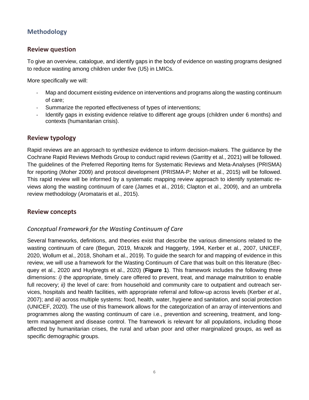# **Methodology**

### **Review question**

To give an overview, catalogue, and identify gaps in the body of evidence on wasting programs designed to reduce wasting among children under five (U5) in LMICs.

More specifically we will:

- Map and document existing evidence on interventions and programs along the wasting continuum of care;
- Summarize the reported effectiveness of types of interventions;
- Identify gaps in existing evidence relative to different age groups (children under 6 months) and contexts (humanitarian crisis).

### **Review typology**

Rapid reviews are an approach to synthesize evidence to inform decision-makers. The guidance by the Cochrane Rapid Reviews Methods Group to conduct rapid reviews (Garritty et al., 2021) will be followed. The guidelines of the Preferred Reporting Items for Systematic Reviews and Meta-Analyses (PRISMA) for reporting (Moher 2009) and protocol development (PRISMA-P; Moher et al., 2015) will be followed. This rapid review will be informed by a systematic mapping review approach to identify systematic reviews along the wasting continuum of care (James et al., 2016; Clapton et al., 2009), and an umbrella review methodology (Aromataris et al., 2015).

### **Review concepts**

### *Conceptual Framework for the Wasting Continuum of Care*

Several frameworks, definitions, and theories exist that describe the various dimensions related to the wasting continuum of care (Begun, 2019, Mrazek and Haggerty, 1994, Kerber et al., 2007, UNICEF, 2020, Wollum et al., 2018, Shoham et al., 2019). To guide the search for and mapping of evidence in this review, we will use a framework for the Wasting Continuum of Care that was built on this literature (Becquey et al., 2020 and Huybregts et al., 2020) (**Figure 1**). This framework includes the following three dimensions: *i)* the appropriate, timely care offered to prevent, treat, and manage malnutrition to enable full recovery; *ii*) the level of care: from household and community care to outpatient and outreach services, hospitals and health facilities, with appropriate referral and follow-up across levels (Kerber *et al.,* 2007); and *iii)* across multiple systems: food, health, water, hygiene and sanitation, and social protection (UNICEF, 2020). The use of this framework allows for the categorization of an array of interventions and programmes along the wasting continuum of care i.e., prevention and screening, treatment, and longterm management and disease control. The framework is relevant for all populations, including those affected by humanitarian crises, the rural and urban poor and other marginalized groups, as well as specific demographic groups.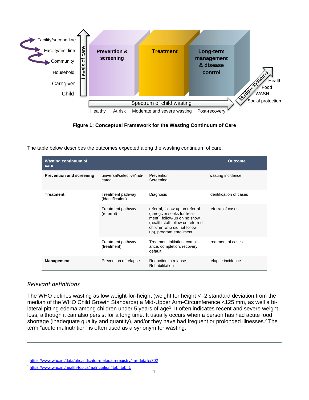



| Facility/first line<br>Community<br>Household<br>Caregiver<br>Child   | of care<br>evels |         | <b>Prevention &amp;</b><br>screening                                       | <b>Treatment</b>                                                                                                                                                                                                                                                                                                                                                                                                                                                                                                                                                                                               | Long-term<br>management<br>& disease<br>control | Muttipe 5.     | Fo<br><b>WAS</b> |
|-----------------------------------------------------------------------|------------------|---------|----------------------------------------------------------------------------|----------------------------------------------------------------------------------------------------------------------------------------------------------------------------------------------------------------------------------------------------------------------------------------------------------------------------------------------------------------------------------------------------------------------------------------------------------------------------------------------------------------------------------------------------------------------------------------------------------------|-------------------------------------------------|----------------|------------------|
|                                                                       |                  |         |                                                                            | Spectrum of child wasting                                                                                                                                                                                                                                                                                                                                                                                                                                                                                                                                                                                      |                                                 |                | Social pro       |
|                                                                       |                  | Healthy | At risk                                                                    | Moderate and severe wasting<br>Figure 1: Conceptual Framework for the Wasting Continuum of Care<br>The table below describes the outcomes expected along the wasting continuum of care.                                                                                                                                                                                                                                                                                                                                                                                                                        | Post-recovery                                   |                |                  |
| <b>Wasting continuum of</b><br>care                                   |                  |         |                                                                            |                                                                                                                                                                                                                                                                                                                                                                                                                                                                                                                                                                                                                |                                                 | <b>Outcome</b> |                  |
| <b>Prevention and screening</b>                                       |                  |         | universal/selective/indi-<br>cated                                         | Prevention<br>Screening                                                                                                                                                                                                                                                                                                                                                                                                                                                                                                                                                                                        | wasting incidence                               |                |                  |
| <b>Treatment</b>                                                      |                  |         | Treatment pathway<br>(identification)                                      | Diagnosis                                                                                                                                                                                                                                                                                                                                                                                                                                                                                                                                                                                                      | identification of cases                         |                |                  |
|                                                                       |                  |         | Treatment pathway<br>(referral)                                            | referral, follow-up on referral<br>(caregiver seeks for treat-<br>ment), follow-up on no show<br>(health staff follow on referred<br>children who did not follow<br>up), program enrollment                                                                                                                                                                                                                                                                                                                                                                                                                    | referral of cases                               |                |                  |
|                                                                       |                  |         | Treatment pathway<br>(treatment)                                           | Treatment initiation, compli-<br>ance, completion, recovery,<br>default                                                                                                                                                                                                                                                                                                                                                                                                                                                                                                                                        | treatment of cases                              |                |                  |
| <b>Management</b>                                                     |                  |         | Prevention of relapse                                                      | Reduction in relapse<br>Rehabilitation                                                                                                                                                                                                                                                                                                                                                                                                                                                                                                                                                                         | relapse incidence                               |                |                  |
| <b>Relevant definitions</b>                                           |                  |         |                                                                            | The WHO defines wasting as low weight-for-height (weight for height < -2 standard deviation from<br>median of the WHO Child Growth Standards) a Mid-Upper Arm-Circumference <125 mm, as well<br>lateral pitting edema among children under 5 years of age <sup>1</sup> . It often indicates recent and severe w<br>loss, although it can also persist for a long time. It usually occurs when a person has had acute fo<br>shortage (inadequate quality and quantity), and/or they have had frequent or prolonged illnesses. <sup>2</sup><br>term "acute malnutrition" is often used as a synonym for wasting. |                                                 |                |                  |
| <sup>2</sup> https://www.who.int/health-topics/malnutrition#tab=tab_1 |                  |         | 1 https://www.who.int/data/gho/indicator-metadata-registry/imr-details/302 |                                                                                                                                                                                                                                                                                                                                                                                                                                                                                                                                                                                                                |                                                 |                |                  |

### *Relevant definitions*

The WHO defines wasting as low weight-for-height (weight for height < -2 standard deviation from the median of the WHO Child Growth Standards) a Mid-Upper Arm-Circumference <125 mm, as well a bilateral pitting edema among children under 5 years of age<sup>1</sup>. It often indicates recent and severe weight loss, although it can also persist for a long time. It usually occurs when a person has had acute food shortage (inadequate quality and quantity), and/or they have had frequent or prolonged illnesses.<sup>2</sup> The term "acute malnutrition" is often used as a synonym for wasting.

<sup>1</sup> <https://www.who.int/data/gho/indicator-metadata-registry/imr-details/302>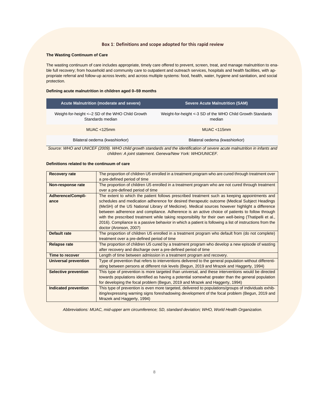#### **Box 1**: **Definitions and scope adopted for this rapid review**

#### **The Wasting Continuum of Care**

The wasting continuum of care includes appropriate, timely care offered to prevent, screen, treat, and manage malnutrition to enable full recovery; from household and community care to outpatient and outreach services, hospitals and health facilities, with appropriate referral and follow-up across levels; and across multiple systems: food, health, water, hygiene and sanitation, and social protection.

#### **Defining acute malnutrition in children aged 0–59 months**

| Acute Malnutrition (moderate and severe)                              | <b>Severe Acute Malnutrition (SAM)</b>                                |
|-----------------------------------------------------------------------|-----------------------------------------------------------------------|
| Weight-for-height <- 2 SD of the WHO Child Growth<br>Standards median | Weight-for-height <- 3 SD of the WHO Child Growth Standards<br>median |
| MUAC $\lt$ 125mm                                                      | MUAC $\lt$ 115mm                                                      |
| Bilateral oedema (kwashiorkor)                                        | Bilateral oedema (kwashiorkor)                                        |

*Source: WHO and UNICEF (2009). WHO child growth standards and the identification of severe acute malnutrition in infants and children: A joint statement. Geneva/New York: WHO/UNICEF.*

#### **Definitions related to the continuum of care**

| <b>Recovery rate</b>        | The proportion of children U5 enrolled in a treatment program who are cured through treatment over      |
|-----------------------------|---------------------------------------------------------------------------------------------------------|
|                             | a pre-defined period of time                                                                            |
| Non-response rate           | The proportion of children U5 enrolled in a treatment program who are not cured through treatment       |
|                             | over a pre-defined period of time                                                                       |
| <b>Adherence/Compli-</b>    | The extent to which the patient follows prescribed treatment such as keeping appointments and           |
| ance                        | schedules and medication adherence for desired therapeutic outcome (Medical Subject Headings            |
|                             | (MeSH) of the US National Library of Medicine). Medical sources however highlight a difference          |
|                             | between adherence and compliance. Adherence is an active choice of patients to follow through           |
|                             | with the prescribed treatment while taking responsibility for their own well-being (Thatipelli et al.,  |
|                             | 2016). Compliance is a passive behavior in which a patient is following a list of instructions from the |
|                             | doctor (Aronson, 2007)                                                                                  |
| Default rate                | The proportion of children U5 enrolled in a treatment program who default from (do not complete)        |
|                             | treatment over a pre-defined period of time                                                             |
| <b>Relapse rate</b>         | The proportion of children U5 cured by a treatment program who develop a new episode of wasting         |
|                             | after recovery and discharge over a pre-defined period of time                                          |
| Time to recover             | Length of time between admission in a treatment program and recovery.                                   |
| <b>Universal prevention</b> | Type of prevention that refers to interventions delivered to the general population without differenti- |
|                             | ating between persons at different risk levels (Begun, 2019 and Mrazek and Haggerty, 1994)              |
| <b>Selective prevention</b> | This type of prevention is more targeted than universal, and these interventions would be directed      |
|                             | towards populations identified as having a potential somewhat greater than the general population       |
|                             | for developing the focal problem (Begun, 2019 and Mrazek and Haggerty, 1994)                            |
| Indicated prevention        | This type of prevention is even more targeted, delivered to populations/groups of individuals exhib-    |
|                             | iting/expressing warning signs foreshadowing development of the focal problem (Begun, 2019 and          |
|                             | Mrazek and Haggerty, 1994)                                                                              |

*Abbreviations: MUAC, mid-upper arm circumference; SD, standard deviation; WHO, World Health Organization.*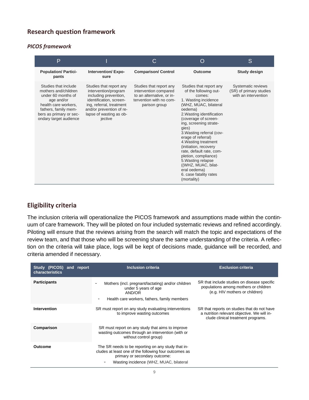# **Research question framework**

### *PICOS framework*

| P                                                                                                                                                                                     |                                                                                                                                                                                                   | C                                                                                                                         | $\bigcap$                                                                                                                                                                                                                                                                                                                                                                                                                                                                    | S                                                                     |
|---------------------------------------------------------------------------------------------------------------------------------------------------------------------------------------|---------------------------------------------------------------------------------------------------------------------------------------------------------------------------------------------------|---------------------------------------------------------------------------------------------------------------------------|------------------------------------------------------------------------------------------------------------------------------------------------------------------------------------------------------------------------------------------------------------------------------------------------------------------------------------------------------------------------------------------------------------------------------------------------------------------------------|-----------------------------------------------------------------------|
| <b>Population/Partici-</b><br>pants                                                                                                                                                   | <b>Intervention/Expo-</b><br>sure                                                                                                                                                                 | <b>Comparison/ Control</b>                                                                                                | Outcome                                                                                                                                                                                                                                                                                                                                                                                                                                                                      | Study design                                                          |
| Studies that include<br>mothers and/children<br>under 60 months of<br>age and/or<br>health care workers,<br>fathers, family mem-<br>bers as primary or sec-<br>ondary target audience | Studies that report any<br>intervention/program<br>including prevention,<br>identification, screen-<br>ing, referral, treatment<br>and/or prevention of re-<br>lapse of wasting as ob-<br>jective | Studies that report any<br>intervention compared<br>to an alternative, or in-<br>tervention with no com-<br>parison group | Studies that report any<br>of the following out-<br>comes:<br>1. Wasting incidence<br>(WHZ, MUAC, bilateral<br>oedema)<br>2. Wasting identification<br>(coverage of screen-<br>ing, screening strate-<br>gies)<br>3. Wasting referral (cov-<br>erage of referral)<br>4. Wasting treatment<br>(initiation, recovery<br>rate, default rate, com-<br>pletion, compliance)<br>5. Wasting relapse<br>((WHZ, MUAC, bilat-<br>eral oedema)<br>6. case fatality rates<br>(mortality) | Systematic reviews<br>(SR) of primary studies<br>with an intervention |

### **Eligibility criteria**

The inclusion criteria will operationalize the PICOS framework and assumptions made within the continuum of care framework. They will be piloted on four included systematic reviews and refined accordingly. Piloting will ensure that the reviews arising from the search will match the topic and expectations of the review team, and that those who will be screening share the same understanding of the criteria. A reflection on the criteria will take place, logs will be kept of decisions made, guidance will be recorded, and criteria amended if necessary.

| Study (PICOS) and report<br>characteristics | <b>Inclusion criteria</b>                                                                                                                                                                                           | <b>Exclusion criteria</b>                                                                                                        |
|---------------------------------------------|---------------------------------------------------------------------------------------------------------------------------------------------------------------------------------------------------------------------|----------------------------------------------------------------------------------------------------------------------------------|
| <b>Participants</b>                         | Mothers (incl. pregnant/lactating) and/or children<br>under 5 years of age<br>AND/OR<br>Health care workers, fathers, family members<br>$\qquad \qquad \blacksquare$                                                | SR that include studies on disease specific<br>populations among mothers or children<br>(e.g. HIV mothers or children)           |
| <b>Intervention</b>                         | SR must report on any study evaluating interventions<br>to improve wasting outcomes                                                                                                                                 | SR that reports on studies that do not have<br>a nutrition relevant objective. We will in-<br>clude clinical treatment programs. |
| Comparison                                  | SR must report on any study that aims to improve<br>wasting outcomes through an intervention (with or<br>without control group)                                                                                     |                                                                                                                                  |
| Outcome                                     | The SR needs to be reporting on any study that in-<br>cludes at least one of the following four outcomes as<br>primary or secondary outcome:<br>Wasting incidence (WHZ, MUAC, bilateral<br>$\overline{\phantom{a}}$ |                                                                                                                                  |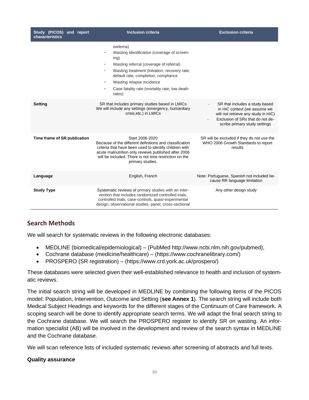| Study (PICOS) and report<br>characteristics | <b>Inclusion criteria</b>                                                                                                                                                                                                                                                                                       |                                                                                                                                                                            |
|---------------------------------------------|-----------------------------------------------------------------------------------------------------------------------------------------------------------------------------------------------------------------------------------------------------------------------------------------------------------------|----------------------------------------------------------------------------------------------------------------------------------------------------------------------------|
|                                             | oedema)<br>Wasting identification (coverage of screen-<br>ing)<br>Wasting referral (coverage of referral)<br>Wasting treatment (initiation, recovery rate,<br>$\qquad \qquad -$<br>default rate, completion, compliance<br>Wasting relapse incidence<br>Case fatality rate (mortality rate, low death<br>rates) |                                                                                                                                                                            |
| Setting                                     | SR that includes primary studies based in LMICs<br>We will include any settings (emergency, humanitary<br>crisis, etc.) in LMICs                                                                                                                                                                                | SR that includes a study based<br>in HIC context (we assume we<br>will not retrieve any study in HIC)<br>Exclusion of SRs that do not de-<br>scribe primary study settings |
| Time frame of SR publication                | Start 2006-2020<br>Because of the different definitions and classification<br>criteria that have been used to identify children with<br>acute malnutrition only reviews published after 2006<br>will be included. There is not time restriction on the<br>primary studies.                                      | SR will be excluded if they do not use the<br>WHO 2006 Growth Standards to report<br>results                                                                               |
| Language                                    | English, French                                                                                                                                                                                                                                                                                                 | Note: Portuguese, Spanish not included be-<br>cause RR language limitation                                                                                                 |
| <b>Study Type</b>                           | Systematic reviews of primary studies with an inter-<br>vention that includes randomized controlled trials.<br>controlled trials, case-controls, quasi-experimental<br>design, observational studies, panel, cross-sectional                                                                                    | Any other design study                                                                                                                                                     |

### **Search Methods**

We will search for systematic reviews in the following electronic databases:

- MEDLINE (biomedical/epidemiological) (PubMed [http://www.ncbi.nlm.nih.gov/pubmed\),](http://www.ncbi.nlm.nih.gov/pubmed)
- Cochrane database (medicine/healthcare) [\(https://www.cochranelibrary.com/\)](https://www.cochranelibrary.com/)
- PROSPERO (SR registration) (https://www.crd.york.ac.uk/prospero/)

These databases were selected given their well-established relevance to health and inclusion of systematic reviews.

The initial search string will be developed in MEDLINE by combining the following items of the PICOS model: Population, Intervention, Outcome and Setting (**see Annex 1**). The search string will include both Medical Subject Headings and keywords for the different stages of the Continuum of Care framework. A scoping search will be done to identify appropriate search terms. We will adapt the final search string to the Cochrane database. We will search the PROSPERO register to identify SR on wasting. An information specialist (AB) will be involved in the development and review of the search syntax in MEDLINE and the Cochrane database.

We will scan reference lists of included systematic reviews after screening of abstracts and full texts.

### **Quality assurance**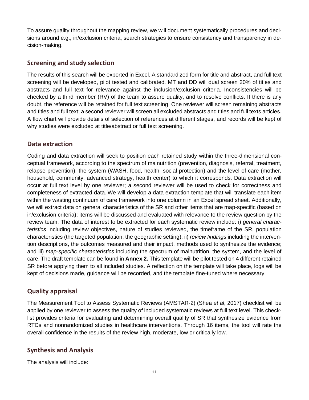To assure quality throughout the mapping review, we will document systematically procedures and decisions around e.g., in/exclusion criteria, search strategies to ensure consistency and transparency in decision-making.

## **Screening and study selection**

The results of this search will be exported in Excel. A standardized form for title and abstract, and full text screening will be developed, pilot tested and calibrated. MT and DD will dual screen 20% of titles and abstracts and full text for relevance against the inclusion/exclusion criteria. Inconsistencies will be checked by a third member (RV) of the team to assure quality, and to resolve conflicts. If there is any doubt, the reference will be retained for full text screening. One reviewer will screen remaining abstracts and titles and full text; a second reviewer will screen all excluded abstracts and titles and full texts articles. A flow chart will provide details of selection of references at different stages, and records will be kept of why studies were excluded at title/abstract or full text screening.

### **Data extraction**

Coding and data extraction will seek to position each retained study within the three-dimensional conceptual framework, according to the spectrum of malnutrition (prevention, diagnosis, referral, treatment, relapse prevention), the system (WASH, food, health, social protection) and the level of care (mother, household, community, advanced strategy, health center) to which it corresponds. Data extraction will occur at full text level by one reviewer; a second reviewer will be used to check for correctness and completeness of extracted data. We will develop a data extraction template that will translate each item within the wasting continuum of care framework into one column in an Excel spread sheet. Additionally, we will extract data on general characteristics of the SR and other items that are map-specific (based on in/exclusion criteria); items will be discussed and evaluated with relevance to the review question by the review team. The data of interest to be extracted for each systematic review include: i) *general characteristics* including review objectives, nature of studies reviewed, the timeframe of the SR, population characteristics (the targeted population, the geographic setting); ii) *review findings* including the intervention descriptions, the outcomes measured and their impact, methods used to synthesize the evidence; and iii) *map-specific characteristics* including the spectrum of malnutrition, the system, and the level of care. The draft template can be found in **Annex 2.** This template will be pilot tested on 4 different retained SR before applying them to all included studies. A reflection on the template will take place, logs will be kept of decisions made, guidance will be recorded, and the template fine-tuned where necessary.

# **Quality appraisal**

The Measurement Tool to Assess Systematic Reviews (AMSTAR-2) (Shea *et al*, 2017) checklist will be applied by one reviewer to assess the quality of included systematic reviews at full text level. This checklist provides criteria for evaluating and determining overall quality of SR that synthesize evidence from RTCs and nonrandomized studies in healthcare interventions. Through 16 items, the tool will rate the overall confidence in the results of the review high, moderate, low or critically low.

# **Synthesis and Analysis**

The analysis will include: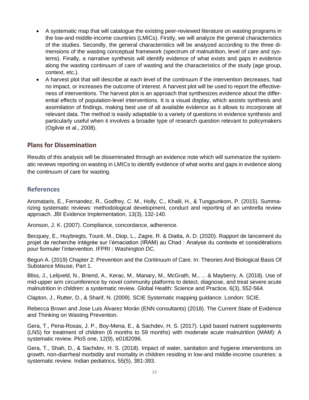- A systematic map that will catalogue the existing peer-reviewed literature on wasting programs in the low-and middle-income countries (LMICs). Firstly, we will analyze the general characteristics of the studies. Secondly, the general characteristics will be analyzed according to the three dimensions of the wasting conceptual framework (spectrum of malnutrition, level of care and systems). Finally, a narrative synthesis will identify evidence of what exists and gaps in evidence along the wasting continuum of care of wasting and the characteristics of the study (age group, context, etc.).
- A harvest plot that will describe at each level of the continuum if the intervention decreases, had no impact, or increases the outcome of interest. A harvest plot will be used to report the effectiveness of interventions. The [harvest plot](http://www.biomedcentral.com/1471-2288/8/8/) is an approach that synthesizes evidence about the differential effects of population-level interventions. It is a visual display, which assists synthesis and assimilation of findings, making best use of all available evidence as it allows to incorporate all relevant data. The method is easily adaptable to a variety of questions in evidence synthesis and particularly useful when it involves a broader type of research question relevant to policymakers (Ogilvie et al., 2008).

### **Plans for Dissemination**

Results of this analysis will be disseminated through an evidence note which will summarize the systematic reviews reporting on wasting in LMICs to identify evidence of what works and gaps in evidence along the continuum of care for wasting.

### **References**

Aromataris, E., Fernandez, R., Godfrey, C. M., Holly, C., Khalil, H., & Tungpunkom, P. (2015). Summarizing systematic reviews: methodological development, conduct and reporting of an umbrella review approach. JBI Evidence Implementation, 13(3), 132-140.

Aronson, J. K. (2007). Compliance, concordance, adherence.

Becquey, E., Huybregts, Touré, M., Diop, L., Zagre, R. & Diatta, A. D. (2020). Rapport de lancement du projet de recherche intégrée sur l'émaciation (IRAM) au Chad : Analyse du contexte et considérations pour formuler l'intervention. IFPRI : Washington DC.

Begun A. (2019) Chapter 2: Prevention and the Continuum of Care. In: Theories And Biological Basis Of Substance Misuse, Part 1.

Bliss, J., Lelijveld, N., Briend, A., Kerac, M., Manary, M., McGrath, M., ... & Mayberry, A. (2018). Use of mid-upper arm circumference by novel community platforms to detect, diagnose, and treat severe acute malnutrition in children: a systematic review. Global Health: Science and Practice, 6(3), 552-564.

Clapton, J., Rutter, D., & Sharif, N. (2009). SCIE Systematic mapping guidance. London: SCIE.

Rebecca Brown and Jose Luis Álvarez Morán (ENN consultants) (2018). The Current State of Evidence and Thinking on Wasting Prevention.

Gera, T., Pena-Rosas, J. P., Boy-Mena, E., & Sachdev, H. S. (2017). Lipid based nutrient supplements (LNS) for treatment of children (6 months to 59 months) with moderate acute malnutrition (MAM): A systematic review. PloS one, 12(9), e0182096.

Gera, T., Shah, D., & Sachdev, H. S. (2018). Impact of water, sanitation and hygiene interventions on growth, non-diarrheal morbidity and mortality in children residing in low-and middle-income countries: a systematic review. Indian pediatrics, 55(5), 381-393.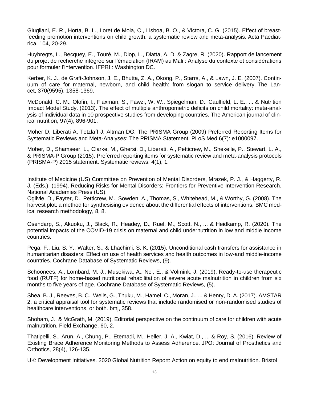Giugliani, E. R., Horta, B. L., Loret de Mola, C., Lisboa, B. O., & Victora, C. G. (2015). Effect of breastfeeding promotion interventions on child growth: a systematic review and meta‐analysis. Acta Paediatrica, 104, 20-29.

Huybregts, L., Becquey, E., Touré, M., Diop, L., Diatta, A. D. & Zagre, R. (2020). Rapport de lancement du projet de recherche intégrée sur l'émaciation (IRAM) au Mali : Analyse du contexte et considérations pour formuler l'intervention. IFPRI : Washington DC.

Kerber, K. J., de Graft-Johnson, J. E., Bhutta, Z. A., Okong, P., Starrs, A., & Lawn, J. E. (2007). Continuum of care for maternal, newborn, and child health: from slogan to service delivery. The Lancet, 370(9595), 1358-1369.

McDonald, C. M., Olofin, I., Flaxman, S., Fawzi, W. W., Spiegelman, D., Caulfield, L. E., ... & Nutrition Impact Model Study. (2013). The effect of multiple anthropometric deficits on child mortality: meta-analysis of individual data in 10 prospective studies from developing countries. The American journal of clinical nutrition, 97(4), 896-901.

Moher D, Liberati A, Tetzlaff J, Altman DG, The PRISMA Group (2009) Preferred Reporting Items for Systematic Reviews and Meta-Analyses: The PRISMA Statement. PLoS Med 6(7): e1000097.

Moher, D., Shamseer, L., Clarke, M., Ghersi, D., Liberati, A., Petticrew, M., Shekelle, P., Stewart, L. A., & PRISMA-P Group (2015). Preferred reporting items for systematic review and meta-analysis protocols (PRISMA-P) 2015 statement. Systematic reviews, 4(1), 1.

Institute of Medicine (US) Committee on Prevention of Mental Disorders, Mrazek, P. J., & Haggerty, R. J. (Eds.). (1994). Reducing Risks for Mental Disorders: Frontiers for Preventive Intervention Research. National Academies Press (US).

Ogilvie, D., Fayter, D., Petticrew, M., Sowden, A., Thomas, S., Whitehead, M., & Worthy, G. (2008). The harvest plot: a method for synthesising evidence about the differential effects of interventions. BMC medical research methodology, 8, 8.

Osendarp, S., Akuoku, J., Black, R., Headey, D., Ruel, M., Scott, N., ... & Heidkamp, R. (2020). The potential impacts of the COVID-19 crisis on maternal and child undernutrition in low and middle income countries.

Pega, F., Liu, S. Y., Walter, S., & Lhachimi, S. K. (2015). Unconditional cash transfers for assistance in humanitarian disasters: Effect on use of health services and health outcomes in low‐and middle‐income countries. Cochrane Database of Systematic Reviews, (9).

Schoonees, A., Lombard, M. J., Musekiwa, A., Nel, E., & Volmink, J. (2019). Ready‐to‐use therapeutic food (RUTF) for home‐based nutritional rehabilitation of severe acute malnutrition in children from six months to five years of age. Cochrane Database of Systematic Reviews, (5).

Shea, B. J., Reeves, B. C., Wells, G., Thuku, M., Hamel, C., Moran, J., ... & Henry, D. A. (2017). AMSTAR 2: a critical appraisal tool for systematic reviews that include randomised or non-randomised studies of healthcare interventions, or both. bmj, 358.

Shoham, J., & McGrath, M. (2019). Editorial perspective on the continuum of care for children with acute malnutrition. Field Exchange, 60, 2.

Thatipelli, S., Arun, A., Chung, P., Etemadi, M., Heller, J. A., Kwiat, D., ... & Roy, S. (2016). Review of Existing Brace Adherence Monitoring Methods to Assess Adherence. JPO: Journal of Prosthetics and Orthotics, 28(4), 126-135.

UK: Development Initiatives. 2020 Global Nutrition Report: Action on equity to end malnutrition. Bristol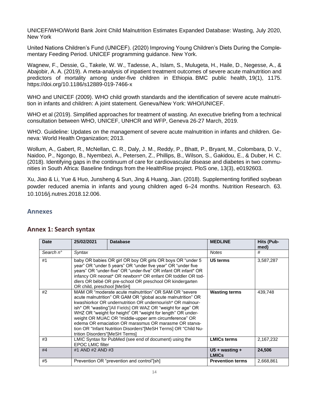UNICEF/WHO/World Bank Joint Child Malnutrition Estimates Expanded Database: Wasting, July 2020, New York

United Nations Children's Fund (UNICEF). (2020) Improving Young Children's Diets During the Complementary Feeding Period. UNICEF programming guidance. New York.

Wagnew, F., Dessie, G., Takele, W. W., Tadesse, A., Islam, S., Mulugeta, H., Haile, D., Negesse, A., & Abajobir, A. A. (2019). A meta-analysis of inpatient treatment outcomes of severe acute malnutrition and predictors of mortality among under-five children in Ethiopia. BMC public health, 19(1), 1175. https://doi.org/10.1186/s12889-019-7466-x

WHO and UNICEF (2009). WHO child growth standards and the identification of severe acute malnutrition in infants and children: A joint statement. Geneva/New York: WHO/UNICEF.

WHO et al (2019). Simplified approaches for treatment of wasting. An executive briefing from a technical consultation between WHO, UNICEF, UNHCR and WFP, Geneva 26-27 March, 2019.

WHO. Guideline: Updates on the management of severe acute malnutrition in infants and children. Geneva: World Health Organization; 2013.

Wollum, A., Gabert, R., McNellan, C. R., Daly, J. M., Reddy, P., Bhatt, P., Bryant, M., Colombara, D. V., Naidoo, P., Ngongo, B., Nyembezi, A., Petersen, Z., Phillips, B., Wilson, S., Gakidou, E., & Duber, H. C. (2018). Identifying gaps in the continuum of care for cardiovascular disease and diabetes in two communities in South Africa: Baseline findings from the HealthRise project. PloS one, 13(3), e0192603.

Xu, Jiao & Li, Yue & Huo, Junsheng & Sun, Jing & Huang, Jian. (2018). Supplementing fortified soybean powder reduced anemia in infants and young children aged 6–24 months. Nutrition Research. 63. 10.1016/j.nutres.2018.12.006.

### **Annexes**

| <b>Date</b>        | 25/02/2021                     | <b>Database</b>                                                                                                                                                                                                                                                                                                                                                                                                                                                                                        | <b>MEDLINE</b>                   | <b>Hits (Pub-</b><br>med) |
|--------------------|--------------------------------|--------------------------------------------------------------------------------------------------------------------------------------------------------------------------------------------------------------------------------------------------------------------------------------------------------------------------------------------------------------------------------------------------------------------------------------------------------------------------------------------------------|----------------------------------|---------------------------|
| Search $n^{\circ}$ | Syntax                         |                                                                                                                                                                                                                                                                                                                                                                                                                                                                                                        | <b>Notes</b>                     | #                         |
| #1                 | OR child, preschool [MeSH]     | baby OR babies OR girl OR boy OR girls OR boys OR "under 5<br>year" OR "under 5 years" OR "under five year" OR "under five<br>years" OR "under-five" OR "under-five" OR infant OR infant* OR<br>infancy OR neonat* OR newborn* OR enfant OR toddler OR tod-<br>dlers OR bébé OR pre-school OR preschool OR kindergarten                                                                                                                                                                                | U5 terms                         | 3,587,287                 |
| #2                 | trition Disorders"[MeSH Terms] | MAM OR "moderate acute malnutrition" OR SAM OR "severe<br>acute malnutrition" OR GAM OR "global acute malnutrition" OR<br>kwashiorkor OR undernutrition OR undernourish* OR malnour-<br>ish* OR "wasting"[All Fields] OR WAZ OR "weight for age" OR<br>WHZ OR "weight for height" OR "weight for length" OR under-<br>weight OR MUAC OR "middle-upper arm circumference" OR<br>edema OR emaciation OR marasmus OR marasme OR starva-<br>tion OR "Infant Nutrition Disorders"[MeSH Terms] OR "Child Nu- | <b>Wasting terms</b>             | 439,748                   |
| #3                 | <b>EPOC LMIC filter</b>        | LMIC Syntax for PubMed (see end of document) using the                                                                                                                                                                                                                                                                                                                                                                                                                                                 | <b>LMICs terms</b>               | 2,167,232                 |
| #4                 | #1 AND #2 AND #3               |                                                                                                                                                                                                                                                                                                                                                                                                                                                                                                        | U5 + wasting $+$<br><b>LMICs</b> | 24,506                    |
| #5                 |                                | Prevention OR "prevention and control"[sh]                                                                                                                                                                                                                                                                                                                                                                                                                                                             | <b>Prevention terms</b>          | 2,668,861                 |

### **Annex 1: Search syntax**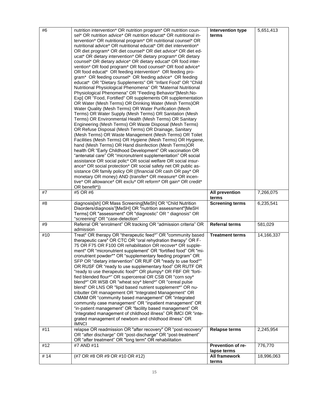| #6  | nutrition intervention* OR nutrition program* OR nutrition coun-<br>sel* OR nutrition advice* OR nutrition educat* OR nutritional in-<br>tervention* OR nutritional program* OR nutritional counsel* OR<br>nutritional advice* OR nutritional educat* OR diet intervention*<br>OR diet program* OR diet counsel* OR diet advice* OR diet ed-<br>ucat* OR dietary intervention* OR dietary program* OR dietary<br>counsel* OR dietary advice* OR dietary educat* OR food inter-<br>vention* OR food program* OR food counsel* OR food advice*<br>OR food educat* OR feeding intervention* OR feeding pro-<br>gram* OR feeding counsel* OR feeding advice* OR feeding<br>educat* OR "Dietary Supplements" OR "Infant Food" OR "Child<br>Nutritional Physiological Phenomena" OR "Maternal Nutritional<br>Physiological Phenomena" OR "Feeding Behavior"[Mesh:No-<br>Exp] OR "Food, Fortified" OR supplements OR supplementation<br>OR Water (Mesh Terms) OR Drinking Water (Mesh Terms)OR<br>Water Quality (Mesh Terms) OR Water Purification (Mesh<br>Terms) OR Water Supply (Mesh Terms) OR Sanitation (Mesh<br>Terms) OR Environmental Health (Mesh Terms) OR Sanitary<br>Engineering (Mesh Terms) OR Waste Disposal (Mesh Terms)<br>OR Refuse Disposal (Mesh Terms) OR Drainage, Sanitary<br>(Mesh Terms) OR Waste Management (Mesh Terms) OR Toilet<br>Facilities (Mesh Terms) OR Hygiene (Mesh Terms) OR Hygiene,<br>hand (Mesh Terms) OR Hand disinfection (Mesh Terms)OR<br>health OR "Early Childhood Development" OR vaccination OR<br>"antenatal care" OR "micronutrient supplementation" OR social<br>assistance OR social polic* OR social welfare OR social insur-<br>ance* OR social protection* OR social safety net OR public as-<br>sistance OR family policy OR ((financial OR cash OR pay* OR<br>monetary OR money) AND (transfer* OR measure* OR incen-<br>tive* OR allowance* OR exclu* OR reform* OR gain* OR credit*<br>OR benefit*)) | <b>Intervention type</b><br>terms       | 5,651,413  |
|-----|-------------------------------------------------------------------------------------------------------------------------------------------------------------------------------------------------------------------------------------------------------------------------------------------------------------------------------------------------------------------------------------------------------------------------------------------------------------------------------------------------------------------------------------------------------------------------------------------------------------------------------------------------------------------------------------------------------------------------------------------------------------------------------------------------------------------------------------------------------------------------------------------------------------------------------------------------------------------------------------------------------------------------------------------------------------------------------------------------------------------------------------------------------------------------------------------------------------------------------------------------------------------------------------------------------------------------------------------------------------------------------------------------------------------------------------------------------------------------------------------------------------------------------------------------------------------------------------------------------------------------------------------------------------------------------------------------------------------------------------------------------------------------------------------------------------------------------------------------------------------------------------------------------------------------------------------------------------|-----------------------------------------|------------|
| #7  | #5 OR #6                                                                                                                                                                                                                                                                                                                                                                                                                                                                                                                                                                                                                                                                                                                                                                                                                                                                                                                                                                                                                                                                                                                                                                                                                                                                                                                                                                                                                                                                                                                                                                                                                                                                                                                                                                                                                                                                                                                                                    | <b>All prevention</b><br>terms          | 7,266,075  |
| #8  | diagnosis[sh] OR Mass Screening[MeSh] OR "Child Nutrition<br>Disorders/diagnosis"[MeSH] OR "nutrition assessment"[MeSH<br>Terms] OR "assessment" OR "diagnostic" OR " diagnosis" OR<br>"screening" OR "case-detection"                                                                                                                                                                                                                                                                                                                                                                                                                                                                                                                                                                                                                                                                                                                                                                                                                                                                                                                                                                                                                                                                                                                                                                                                                                                                                                                                                                                                                                                                                                                                                                                                                                                                                                                                      | <b>Screening terms</b>                  | 6,235,541  |
| #9  | Referral OR "enrolment" OR tracking OR "admission criteria" OR<br>admission                                                                                                                                                                                                                                                                                                                                                                                                                                                                                                                                                                                                                                                                                                                                                                                                                                                                                                                                                                                                                                                                                                                                                                                                                                                                                                                                                                                                                                                                                                                                                                                                                                                                                                                                                                                                                                                                                 | <b>Referral terms</b>                   | 581,029    |
| #10 | Treat* OR therapy OR "therapeutic feed*" OR "community based<br>therapeutic care" OR CTC OR "oral rehydration therapy" OR F-<br>75 OR F75 OR F100 OR rehabilitation OR recover* OR supple-<br>ment* OR "micronutrient supplement" OR "fortified food" OR "mi-<br>cronutrient powder*" OR "supplementary feeding program" OR<br>SFP OR "dietary intervention" OR RUF OR "ready to use food*"<br>OR RUSF OR "ready to use supplementary food" OR RUTF OR<br>"ready to use therapeutic food*" OR plumpy* OR FBF OR "forti-<br>fied blended flour*" OR supercereal OR CSB OR "corn soy*<br>blend*" OR WSB OR "wheat soy* blend*" OR "cereal pulse<br>blend" OR LNS OR "lipid based nutrient supplement*" OR nu-<br>tributter OR management OR "Integrated Management" OR<br>CMAM OR "community based management" OR "integrated<br>community case management" OR "inpatient management" OR<br>"in-patient management" OR "facility based management" OR<br>"integrated management of childhood illness" OR IMCI OR "inte-<br>grated management of newborn and childhood illness" OR<br><b>IMNCI</b>                                                                                                                                                                                                                                                                                                                                                                                                                                                                                                                                                                                                                                                                                                                                                                                                                                                             | <b>Treatment terms</b>                  | 14,166,337 |
| #11 | relapse OR readmission OR "after recovery" OR "post-recovery"<br>OR "after discharge" OR "post-discharge" OR "post-treatment"<br>OR "after treatment" OR "long term" OR rehabilitation                                                                                                                                                                                                                                                                                                                                                                                                                                                                                                                                                                                                                                                                                                                                                                                                                                                                                                                                                                                                                                                                                                                                                                                                                                                                                                                                                                                                                                                                                                                                                                                                                                                                                                                                                                      | <b>Relapse terms</b>                    | 2,245,954  |
| #12 | #7 AND #11                                                                                                                                                                                                                                                                                                                                                                                                                                                                                                                                                                                                                                                                                                                                                                                                                                                                                                                                                                                                                                                                                                                                                                                                                                                                                                                                                                                                                                                                                                                                                                                                                                                                                                                                                                                                                                                                                                                                                  | <b>Prevention of re-</b><br>lapse terms | 776,770    |
| #14 | (#7 OR #8 OR #9 OR #10 OR #12)                                                                                                                                                                                                                                                                                                                                                                                                                                                                                                                                                                                                                                                                                                                                                                                                                                                                                                                                                                                                                                                                                                                                                                                                                                                                                                                                                                                                                                                                                                                                                                                                                                                                                                                                                                                                                                                                                                                              | <b>All framework</b><br>terms           | 18,996,063 |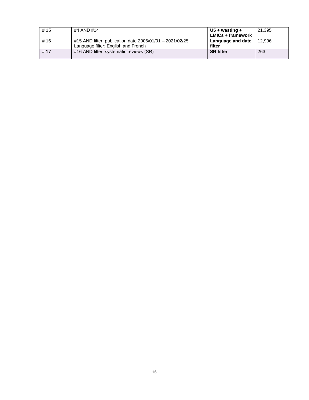| # $15$ | #4 AND #14                                               | U5 + wasting +           | 21,395 |
|--------|----------------------------------------------------------|--------------------------|--------|
|        |                                                          | <b>LMICs + framework</b> |        |
| #16    | #15 AND filter: publication date 2006/01/01 - 2021/02/25 | <b>Language and date</b> | 12.996 |
|        | Language filter: English and French                      | filter                   |        |
| # 17   | #16 AND filter: systematic reviews (SR)                  | <b>SR</b> filter         | 263    |
|        |                                                          |                          |        |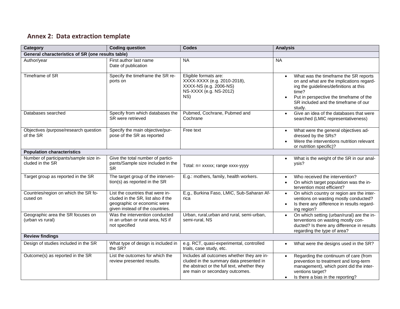# **Annex 2: Data extraction template**

| <b>Category</b>                                            | <b>Coding question</b>                                                                                                                   | <b>Codes</b>                                                                                                                                                            | <b>Analysis</b>                                                                                                                                                                                                                   |
|------------------------------------------------------------|------------------------------------------------------------------------------------------------------------------------------------------|-------------------------------------------------------------------------------------------------------------------------------------------------------------------------|-----------------------------------------------------------------------------------------------------------------------------------------------------------------------------------------------------------------------------------|
| General characteristics of SR (one results table)          |                                                                                                                                          |                                                                                                                                                                         |                                                                                                                                                                                                                                   |
| Author/year                                                | First author last name<br>Date of publication                                                                                            | <b>NA</b>                                                                                                                                                               | <b>NA</b>                                                                                                                                                                                                                         |
| Timeframe of SR                                            | Specify the timeframe the SR re-<br>ports on                                                                                             | Eligible formats are:<br>XXXX-XXXX (e.g. 2010-2018),<br>XXXX-NS (e.g. 2006-NS)<br>NS-XXXX (e.g. NS-2012)<br>NS)                                                         | What was the timeframe the SR reports<br>on and what are the implications regard-<br>ing the guidelines/definitions at this<br>time?<br>Put in perspective the timeframe of the<br>SR included and the timeframe of our<br>study. |
| Databases searched                                         | Specify from which databases the<br>SR were retrieved                                                                                    | Pubmed, Cochrane, Pubmed and<br>Cochrane                                                                                                                                | Give an idea of the databases that were<br>searched (LMIC representativeness)                                                                                                                                                     |
| Objectives /purpose/research question<br>of the SR         | Specify the main objective/pur-<br>pose of the SR as reported                                                                            | Free text                                                                                                                                                               | What were the general objectives ad-<br>$\bullet$<br>dressed by the SRs?<br>Were the interventions nutrition relevant<br>or nutrition specific)?                                                                                  |
| <b>Population characteristics</b>                          |                                                                                                                                          |                                                                                                                                                                         |                                                                                                                                                                                                                                   |
| Number of participants/sample size in-<br>cluded in the SR | Give the total number of partici-<br>pants/Sample size included in the<br><b>SR</b>                                                      | Total: n= xxxxx; range xxxx-yyyy                                                                                                                                        | What is the weight of the SR in our anal-<br>ysis?                                                                                                                                                                                |
| Target group as reported in the SR                         | The target group of the interven-<br>tion(s) as reported in the SR                                                                       | E.g.: mothers, family, health workers.                                                                                                                                  | Who received the intervention?<br>$\bullet$<br>On which target population was the in-<br>tervention most efficient?                                                                                                               |
| Countries/region on which the SR fo-<br>cused on           | List the countries that were in-<br>cluded in the SR, list also if the<br>geographic or economic were<br>given instead of the countries. | E.g., Burkina Faso, LMIC, Sub-Saharan Af-<br>rica                                                                                                                       | On which country or region are the inter-<br>$\bullet$<br>ventions on wasting mostly conducted?<br>Is there any difference in results regard-<br>$\bullet$<br>ing region?                                                         |
| Geographic area the SR focuses on<br>(urban vs rural)      | Was the intervention conducted<br>in an urban or rural area, NS if<br>not specified                                                      | Urban, rural, urban and rural, semi-urban,<br>semi-rural, NS                                                                                                            | On which setting (urban/rural) are the in-<br>$\bullet$<br>terventions on wasting mostly con-<br>ducted? Is there any difference in results<br>regarding the type of area?                                                        |
| <b>Review findings</b>                                     |                                                                                                                                          |                                                                                                                                                                         |                                                                                                                                                                                                                                   |
| Design of studies included in the SR                       | What type of design is included in<br>the SR?                                                                                            | e.g. RCT, quasi-experimental, controlled<br>trials, case study, etc.                                                                                                    | What were the designs used in the SR?                                                                                                                                                                                             |
| Outcome(s) as reported in the SR                           | List the outcomes for which the<br>review presented results.                                                                             | Includes all outcomes whether they are in-<br>cluded in the summary data presented in<br>the abstract or the full text, whether they<br>are main or secondary outcomes. | Regarding the continuum of care (from<br>prevention to treatment and long-term<br>management), which point did the inter-<br>ventions target?<br>Is there a bias in the reporting?<br>$\bullet$                                   |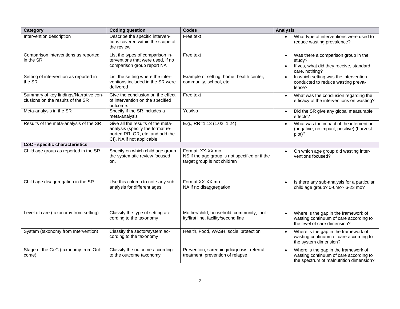| Category                                                                    | <b>Coding question</b>                                                                                                                | <b>Codes</b>                                                                                       | <b>Analysis</b>                                                                                                           |
|-----------------------------------------------------------------------------|---------------------------------------------------------------------------------------------------------------------------------------|----------------------------------------------------------------------------------------------------|---------------------------------------------------------------------------------------------------------------------------|
| Intervention description                                                    | Describe the specific interven-<br>tions covered within the scope of<br>the review                                                    | Free text                                                                                          | What type of interventions were used to<br>reduce wasting prevalence?                                                     |
| Comparison interventions as reported<br>in the SR                           | List the types of comparison in-<br>terventions that were used, if no<br>comparison group report NA                                   | Free text                                                                                          | Was there a comparison group in the<br>study?<br>If yes, what did they receive, standard<br>care, nothing?                |
| Setting of intervention as reported in<br>the SR                            | List the setting where the inter-<br>ventions included in the SR were<br>delivered                                                    | Example of setting: home, health center,<br>community, school, etc.                                | In which setting was the intervention<br>conducted to reduce wasting preva-<br>lence?                                     |
| Summary of key findings/Narrative con-<br>clusions on the results of the SR | Give the conclusion on the effect<br>of intervention on the specified<br>outcome.                                                     | Free text                                                                                          | What was the conclusion regarding the<br>$\bullet$<br>efficacy of the interventions on wasting?                           |
| Meta-analysis in the SR                                                     | Specify if the SR includes a<br>meta-analysis                                                                                         | Yes/No                                                                                             | Did the SR give any global measurable<br>effects?                                                                         |
| Results of the meta-analysis of the SR                                      | Give all the results of the meta-<br>analysis (specify the format re-<br>ported RR, OR, etc. and add the<br>CI), NA if not applicable | E.g., RR=1.13 (1.02, 1.24)                                                                         | What was the impact of the intervention<br>$\bullet$<br>(negative, no impact, positive) (harvest<br>plot)?                |
| CoC - specific characteristics                                              |                                                                                                                                       |                                                                                                    |                                                                                                                           |
| Child age group as reported in the SR                                       | Specify on which child age group<br>the systematic review focused<br>on.                                                              | Format: XX-XX mo<br>NS if the age group is not specified or if the<br>target group is not children | On which age group did wasting inter-<br>ventions focused?                                                                |
| Child age disaggregation in the SR                                          | Use this column to note any sub-<br>analysis for different ages                                                                       | Format XX-XX mo<br>NA if no disaggregation                                                         | Is there any sub-analysis for a particular<br>$\bullet$<br>child age group? 0-6mo? 6-23 mo?                               |
| Level of care (taxonomy from setting)                                       | Classify the type of setting ac-<br>cording to the taxonomy                                                                           | Mother/child, household, community, facil-<br>ity/first line, facility/second line                 | Where is the gap in the framework of<br>wasting continuum of care according to<br>the level of care dimension?            |
| System (taxonomy from Intervention)                                         | Classify the sector/system ac-<br>cording to the taxonomy                                                                             | Health, Food, WASH, social protection                                                              | Where is the gap in the framework of<br>wasting continuum of care according to<br>the system dimension?                   |
| Stage of the CoC (taxonomy from Out-<br>come)                               | Classify the outcome according<br>to the outcome taxonomy                                                                             | Prevention, screening/diagnosis, referral,<br>treatment, prevention of relapse                     | Where is the gap in the framework of<br>wasting continuum of care according to<br>the spectrum of malnutrition dimension? |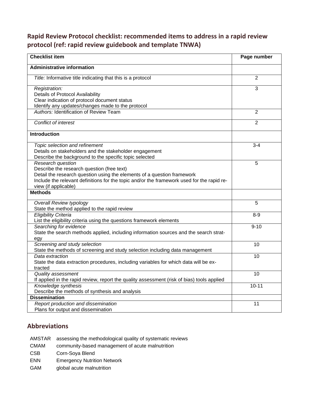# **Rapid Review Protocol checklist: recommended items to address in a rapid review protocol (ref: rapid review guidebook and template TNWA)**

| <b>Checklist item</b>                                                                      | Page number    |
|--------------------------------------------------------------------------------------------|----------------|
| <b>Administrative information</b>                                                          |                |
| Title: Informative title indicating that this is a protocol                                | $\overline{2}$ |
| Registration:                                                                              | 3              |
| Details of Protocol Availability                                                           |                |
| Clear indication of protocol document status                                               |                |
| Identify any updates/changes made to the protocol                                          |                |
| Authors: Identification of Review Team                                                     | $\overline{2}$ |
| <b>Conflict of interest</b>                                                                | $\overline{2}$ |
| <b>Introduction</b>                                                                        |                |
| Topic selection and refinement                                                             | $3 - 4$        |
| Details on stakeholders and the stakeholder engagement                                     |                |
| Describe the background to the specific topic selected                                     |                |
| Research question                                                                          | 5              |
| Describe the research question (free text)                                                 |                |
| Detail the research question using the elements of a question framework                    |                |
| Include the relevant definitions for the topic and/or the framework used for the rapid re- |                |
| view (if applicable)                                                                       |                |
| <b>Methods</b>                                                                             |                |
| <b>Overall Review typology</b>                                                             | 5              |
| State the method applied to the rapid review                                               |                |
| <b>Eligibility Criteria</b>                                                                | $8 - 9$        |
| List the eligibility criteria using the questions framework elements                       |                |
| Searching for evidence                                                                     | $9 - 10$       |
| State the search methods applied, including information sources and the search strat-      |                |
| egy<br>Screening and study selection                                                       | 10             |
| State the methods of screening and study selection including data management               |                |
| Data extraction                                                                            | 10             |
| State the data extraction procedures, including variables for which data will be ex-       |                |
| tracted                                                                                    |                |
| <b>Quality assessment</b>                                                                  | 10             |
| If applied in the rapid review, report the quality assessment (risk of bias) tools applied |                |
| Knowledge synthesis                                                                        | $10 - 11$      |
| Describe the methods of synthesis and analysis                                             |                |
| <b>Dissemination</b>                                                                       |                |
| Report production and dissemination                                                        | 11             |
| Plans for output and dissemination                                                         |                |

### **Abbreviations**

- AMSTAR assessing the methodological quality of systematic reviews
- CMAM community-based management of acute malnutrition
- CSB Corn-Soya Blend
- ENN Emergency Nutrition Network
- GAM global acute malnutrition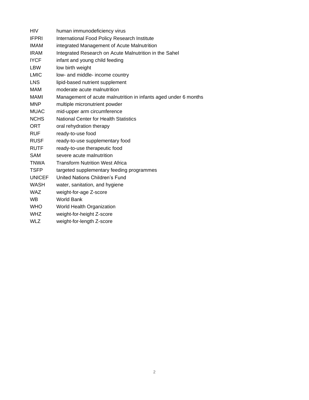| <b>HIV</b>    | human immunodeficiency virus                                    |
|---------------|-----------------------------------------------------------------|
| <b>IFPRI</b>  | International Food Policy Research Institute                    |
| <b>IMAM</b>   | integrated Management of Acute Malnutrition                     |
| <b>IRAM</b>   | Integrated Research on Acute Malnutrition in the Sahel          |
| <b>IYCF</b>   | infant and young child feeding                                  |
| <b>LBW</b>    | low birth weight                                                |
| <b>LMIC</b>   | low- and middle- income country                                 |
| <b>LNS</b>    | lipid-based nutrient supplement                                 |
| <b>MAM</b>    | moderate acute malnutrition                                     |
| MAMI          | Management of acute malnutrition in infants aged under 6 months |
| <b>MNP</b>    | multiple micronutrient powder                                   |
| <b>MUAC</b>   | mid-upper arm circumference                                     |
| <b>NCHS</b>   | <b>National Center for Health Statistics</b>                    |
| ORT           | oral rehydration therapy                                        |
| <b>RUF</b>    | ready-to-use food                                               |
| <b>RUSF</b>   | ready-to-use supplementary food                                 |
| <b>RUTF</b>   | ready-to-use therapeutic food                                   |
| <b>SAM</b>    | severe acute malnutrition                                       |
| <b>TNWA</b>   | <b>Transform Nutrition West Africa</b>                          |
| <b>TSFP</b>   | targeted supplementary feeding programmes                       |
| <b>UNICEF</b> | United Nations Children's Fund                                  |
| <b>WASH</b>   | water, sanitation, and hygiene                                  |
| <b>WAZ</b>    | weight-for-age Z-score                                          |
| <b>WB</b>     | World Bank                                                      |
| <b>WHO</b>    | World Health Organization                                       |
| <b>WHZ</b>    | weight-for-height Z-score                                       |
| <b>WLZ</b>    | weight-for-length Z-score                                       |
|               |                                                                 |